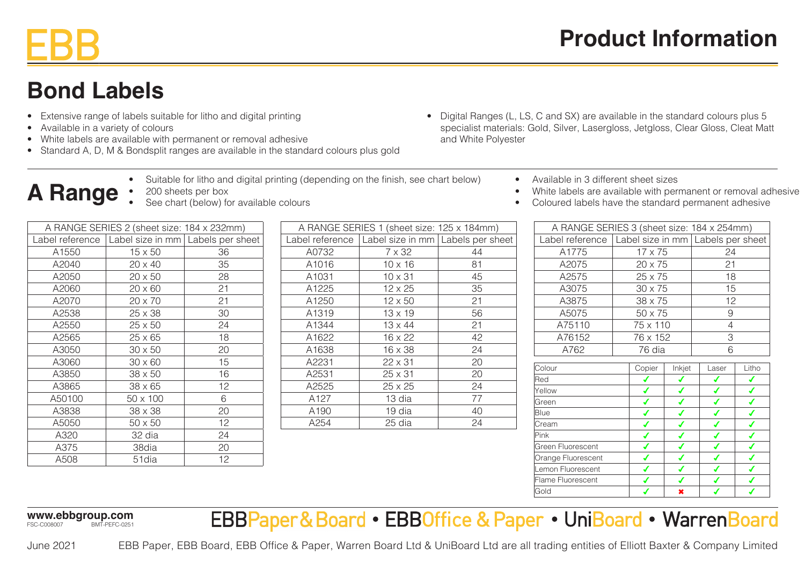# **Bond Labels**

- Extensive range of labels suitable for litho and digital printing
- Available in a variety of colours

**A Range**

• White labels are available with permanent or removal adhesive

• 200 sheets per box

• Standard A, D, M & Bondsplit ranges are available in the standard colours plus gold

See chart (below) for available colours

- Suitable for litho and digital printing (depending on the finish, see chart below)
- Digital Ranges (L, LS, C and SX) are available in the standard colours plus 5 specialist materials: Gold, Silver, Lasergloss, Jetgloss, Clear Gloss, Cleat Matt and White Polyester
	- Available in 3 different sheet sizes
	- White labels are available with permanent or removal adhesive
	- Coloured labels have the standard permanent adhesive

| A RANGE SERIES 2 (sheet size: 184 x 232mm) |                                                       |    |  |
|--------------------------------------------|-------------------------------------------------------|----|--|
|                                            | Label reference   Label size in mm   Labels per sheet |    |  |
| A1550                                      | 15 x 50                                               | 36 |  |
| A2040                                      | 20 x 40                                               | 35 |  |
| A2050                                      | $20 \times 50$                                        | 28 |  |
| A2060                                      | $20 \times 60$                                        | 21 |  |
| A2070                                      | $20 \times 70$                                        | 21 |  |
| A2538                                      | $25 \times 38$                                        | 30 |  |
| A2550                                      | $25 \times 50$                                        | 24 |  |
| A2565                                      | 25 x 65                                               | 18 |  |
| A3050                                      | $30 \times 50$                                        | 20 |  |
| A3060                                      | $30 \times 60$                                        | 15 |  |
| A3850                                      | $38 \times 50$                                        | 16 |  |
| A3865                                      | $38 \times 65$                                        | 12 |  |
| A50100                                     | 50 x 100                                              | 6  |  |
| A3838                                      | $38 \times 38$                                        | 20 |  |
| A5050                                      | 50 x 50                                               | 12 |  |
| A320                                       | 32 dia                                                | 24 |  |
| A375                                       | 38dia                                                 | 20 |  |
| A508                                       | 51dia                                                 | 12 |  |

A RANGE SERIES 1 (sheet size: 125 x 184mm) Label reference Label size in mm Labels per sheet A0732 7 x 32 44 A1016 10 x 16 81 A1031 10 x 31 45 A1225 12 x 25 35  $A1250$  12 x 50 21 A1319 13 x 19 56  $A1344$  13 x 44 21 A1622 16 x 22 42 A1638 16 x 38 24  $A2231$  22 x 31 20  $A2531$  25 x 31 20  $A2525$  25 x 25 24 A127 13 dia 77 A190 | 19 dia | 40 A254 25 dia 24

| A RANGE SERIES 3 (sheet size: 184 x 254mm)            |          |                |        |       |       |
|-------------------------------------------------------|----------|----------------|--------|-------|-------|
| Label reference   Label size in mm   Labels per sheet |          |                |        |       |       |
| A1775                                                 |          | 17 x 75        |        | 24    |       |
| A2075                                                 |          | $20 \times 75$ |        | 21    |       |
| A2575                                                 |          | 25 x 75        |        | 18    |       |
| A3075                                                 |          | $30 \times 75$ |        | 15    |       |
| A3875                                                 |          | $38 \times 75$ |        | 12    |       |
| A5075                                                 |          | 50 x 75        |        | 9     |       |
| A75110                                                |          | 75 x 110       |        | 4     |       |
| A76152                                                | 76 x 152 |                | 3      |       |       |
| A762                                                  |          | 76 dia         |        | 6     |       |
| Colour                                                |          | Copier         | Inkjet | Laser | Litho |
|                                                       |          |                |        |       |       |
| Red                                                   |          |                | ✔      | ✔     | ✔     |
| Yellow                                                |          | ✔              | ✔      | ✔     | ✔     |
| Green                                                 |          | ✔              | ✔      | ✔     | ✔     |
| Blue                                                  |          |                |        |       | ✔     |
| Cream                                                 |          |                | ✔      |       | ✔     |
| Pink                                                  |          |                |        |       |       |

Green Fluorescent 4 4 4 4 Orange Fluorescent 4 4 4 4 Lemon Fluorescent 4 4 4 4 Flame Fluorescent 4 4 4 4 Gold  $\begin{array}{|c|c|c|c|c|}\hline \text{Gold} & & & \text{\hspace{0.8cm} $\checkmark$} & \text{\hspace{0.8cm} $\checkmark$} & \text{\hspace{0.8cm}$}\hline \end{array}$ 

**www.ebbgroup.com** FSC-C008007 BMT-PEFC-0251

June 2021

EBBPaper&Board • EBBOffice & Paper • UniBoard • WarrenBoard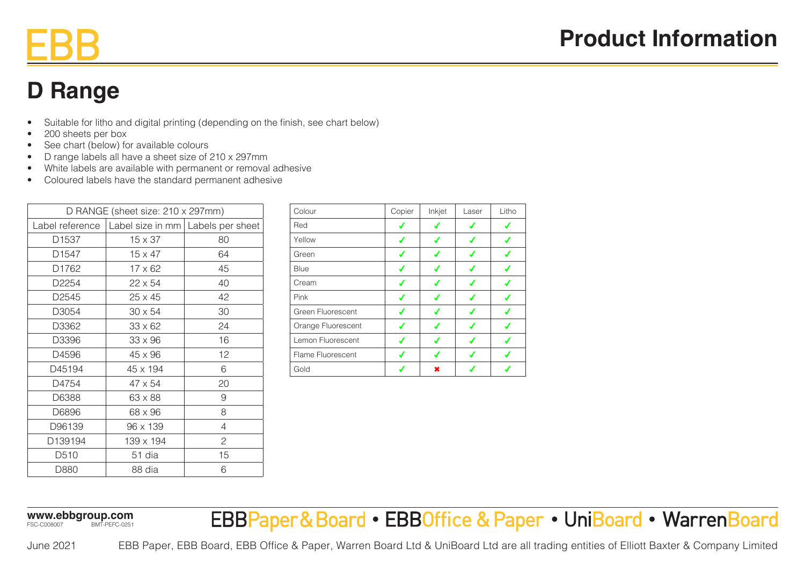### **D Range**

- Suitable for litho and digital printing (depending on the finish, see chart below)
- 200 sheets per box
- See chart (below) for available colours
- D range labels all have a sheet size of 210 x 297mm
- White labels are available with permanent or removal adhesive
- Coloured labels have the standard permanent adhesive

| D RANGE (sheet size: 210 x 297mm) |                                                       |    |  |  |
|-----------------------------------|-------------------------------------------------------|----|--|--|
|                                   | Label reference   Label size in mm   Labels per sheet |    |  |  |
| D <sub>1537</sub>                 | $15 \times 37$                                        | 80 |  |  |
| D1547                             | $15 \times 47$                                        | 64 |  |  |
| D1762                             | $17 \times 62$                                        | 45 |  |  |
| D <sub>2254</sub>                 | $22 \times 54$                                        | 40 |  |  |
| D <sub>2545</sub>                 | 25 x 45                                               | 42 |  |  |
| D3054                             | $30 \times 54$                                        | 30 |  |  |
| D3362                             | $33 \times 62$                                        | 24 |  |  |
| D3396                             | 33 x 96                                               | 16 |  |  |
| D4596                             | 45 x 96                                               | 12 |  |  |
| D45194                            | 45 x 194                                              | 6  |  |  |
| D4754                             | $47 \times 54$                                        | 20 |  |  |
| D6388                             | 63 x 88                                               | 9  |  |  |
| D6896                             | 68 x 96                                               | 8  |  |  |
| D96139                            | 96 x 139                                              | 4  |  |  |
| D139194                           | 139 x 194                                             | 2  |  |  |
| D510                              | 51 dia                                                | 15 |  |  |
| D880                              | 88 dia                                                | 6  |  |  |

| Colour             | Copier | Inkjet | Laser | Litho |
|--------------------|--------|--------|-------|-------|
| Red                |        |        |       |       |
| Yellow             |        | ✔      |       |       |
| Green              | ✔      | ◢      |       |       |
| Blue               | ✔      | ✔      |       |       |
| Cream              | ✔      | ✔      |       |       |
| Pink               |        |        |       |       |
| Green Fluorescent  |        |        |       |       |
| Orange Fluorescent |        |        |       |       |
| Lemon Fluorescent  |        |        |       |       |
| Flame Fluorescent  |        |        |       |       |
| Gold               |        | ×      |       |       |

**www.ebbgroup.com** FSC-C008007 BMT-PEFC-0251

EBBPaper&Board • EBBOffice & Paper • UniBoard • WarrenBoard

June 2021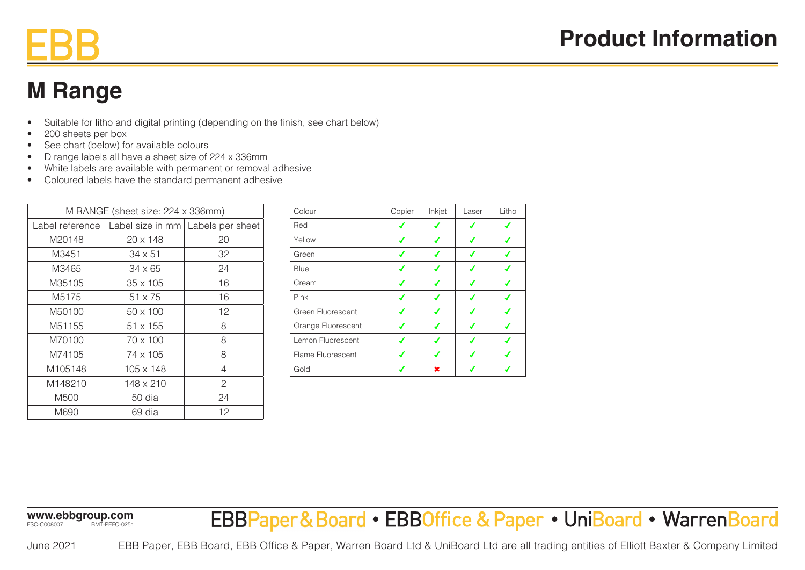### **M Range**

- Suitable for litho and digital printing (depending on the finish, see chart below)
- 200 sheets per box
- See chart (below) for available colours
- D range labels all have a sheet size of 224 x 336mm
- White labels are available with permanent or removal adhesive
- Coloured labels have the standard permanent adhesive

| M RANGE (sheet size: 224 x 336mm) |                  |                                     |  |  |
|-----------------------------------|------------------|-------------------------------------|--|--|
| Label reference                   |                  | Label size in mm   Labels per sheet |  |  |
| M20148                            | 20 x 148         | 20                                  |  |  |
| M3451                             | 34 x 51          | 32                                  |  |  |
| M3465                             | $34 \times 65$   | 24                                  |  |  |
| M35105                            | $35 \times 105$  | 16                                  |  |  |
| M5175                             | $51 \times 75$   | 16                                  |  |  |
| M50100                            | $50 \times 100$  | 12                                  |  |  |
| M51155                            | $51 \times 155$  | 8                                   |  |  |
| M70100                            | 70 x 100         | 8                                   |  |  |
| M74105                            | 74 x 105         | 8                                   |  |  |
| M105148                           | $105 \times 148$ | $\overline{4}$                      |  |  |
| M148210                           | $148 \times 210$ | 2                                   |  |  |
| M500                              | 50 dia           | 24                                  |  |  |
| M690                              | 69 dia           | 12                                  |  |  |
|                                   |                  |                                     |  |  |

| Colour             | Copier | Inkjet | Laser | Litho |
|--------------------|--------|--------|-------|-------|
| Red                |        |        | ◢     |       |
| Yellow             | √      | √      |       |       |
| Green              | ✔      | ✔      | ✔     |       |
| Blue               | ✔      | ✔      | ◢     |       |
| Cream              | ✔      | ✔      |       |       |
| Pink               | ✔      | ✔      |       |       |
| Green Fluorescent  |        | ✔      | ◢     |       |
| Orange Fluorescent |        |        |       |       |
| Lemon Fluorescent  |        | ✔      |       |       |
| Flame Fluorescent  |        |        |       |       |
| Gold               |        | ×      |       |       |

**www.ebbgroup.com** FSC-C008007 BMT-PEFC-0251

EBBPaper&Board • EBBOffice & Paper • UniBoard • WarrenBoard

June 2021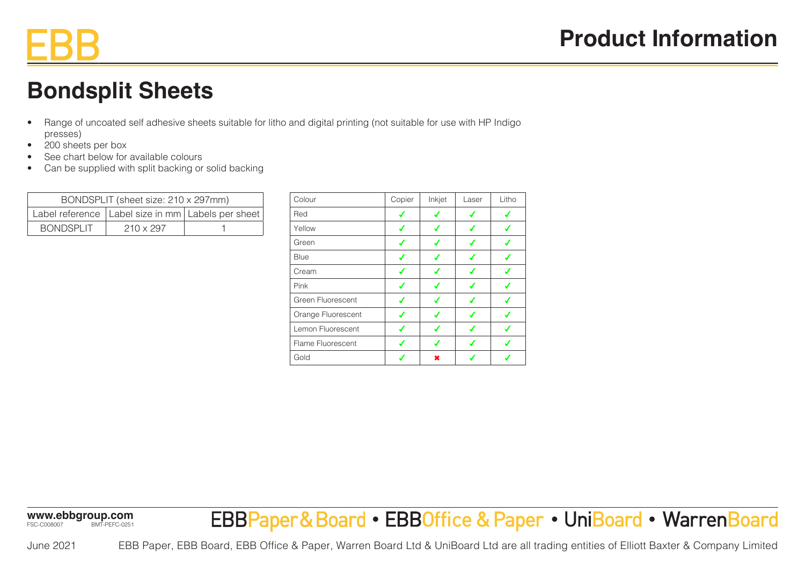### **Bondsplit Sheets**

- Range of uncoated self adhesive sheets suitable for litho and digital printing (not suitable for use with HP Indigo presses)
- 200 sheets per box
- See chart below for available colours
- Can be supplied with split backing or solid backing

| BONDSPLIT (sheet size: 210 x 297mm) |                                                       |  |  |  |
|-------------------------------------|-------------------------------------------------------|--|--|--|
|                                     | Label reference   Label size in mm   Labels per sheet |  |  |  |
| <b>BONDSPLIT</b>                    | $210 \times 297$                                      |  |  |  |

| Colour             | Copier | Inkjet | Laser | Litho |
|--------------------|--------|--------|-------|-------|
| Red                |        | ✔      |       |       |
| Yellow             | ✔      | ✔      | ✔     |       |
| Green              | ✔      | ✔      | ✔     |       |
| Blue               | ✔      | ✔      | ✔     |       |
| Cream              | ✔      | ✔      | ✔     |       |
| Pink               | J      | ✔      | ✔     |       |
| Green Fluorescent  | ✔      | ✔      | ✔     | ◢     |
| Orange Fluorescent |        | ✔      |       |       |
| Lemon Fluorescent  |        |        |       |       |
| Flame Fluorescent  |        |        |       |       |
| Gold               |        |        |       |       |

**www.ebbgroup.com** FSC-C008007 BMT-PEFC-0251

EBBPaper&Board • EBBOffice & Paper • UniBoard • WarrenBoard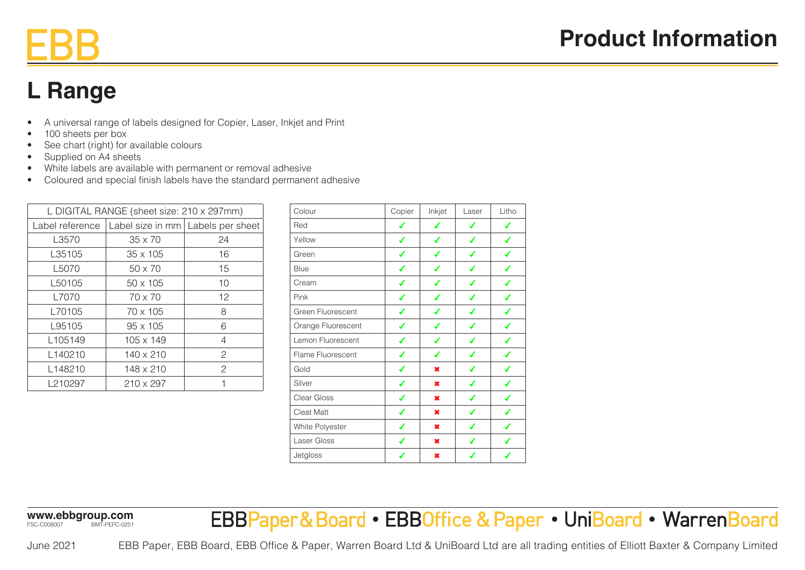# **L Range**

- A universal range of labels designed for Copier, Laser, Inkjet and Print
- 100 sheets per box
- See chart (right) for available colours
- Supplied on A4 sheets
- White labels are available with permanent or removal adhesive
- Coloured and special finish labels have the standard permanent adhesive

| L DIGITAL RANGE (sheet size: 210 x 297mm) |                 |                                     |               |  |
|-------------------------------------------|-----------------|-------------------------------------|---------------|--|
|                                           | Label reference | Label size in mm   Labels per sheet |               |  |
|                                           | L3570           | $35 \times 70$                      | 24            |  |
|                                           | L35105          | $35 \times 105$                     | 16            |  |
|                                           | L5070           | $50 \times 70$                      | 15            |  |
|                                           | L50105          | $50 \times 105$                     | 10            |  |
|                                           | L7070           | $70 \times 70$                      | 12            |  |
|                                           | L70105          | $70 \times 105$                     | 8             |  |
|                                           | L95105          | $95 \times 105$                     | 6             |  |
|                                           | L105149         | $105 \times 149$                    | 4             |  |
|                                           | L140210         | 140 x 210                           | $\mathcal{P}$ |  |
|                                           | L148210         | 148 x 210                           | $\mathcal{P}$ |  |
|                                           | L210297         | 210 x 297                           |               |  |
|                                           |                 |                                     |               |  |

| Colour             | Copier | Inkjet | Laser | Litho |
|--------------------|--------|--------|-------|-------|
| Red                |        |        | ✔     | ✔     |
| Yellow             | ℐ      |        | ✔     |       |
| Green              |        |        | ✔     |       |
| <b>Blue</b>        |        |        |       |       |
| Cream              |        |        |       |       |
| Pink               |        |        |       |       |
| Green Fluorescent  |        |        | ℐ     |       |
| Orange Fluorescent |        |        | ℐ     |       |
| Lemon Fluorescent  | ✔      | ✔      | ✔     |       |
| Flame Fluorescent  | ✔      | ✔      | ✔     |       |
| Gold               | ✔      | ×      | ✔     | ✔     |
| Silver             | ✔      | ×      | ✔     | ✔     |
| Clear Gloss        | ✔      | ×      | ✔     | ✔     |
| <b>Cleat Matt</b>  | ✔      | ×      | ✔     | ✔     |
| White Polyester    | ✔      | ×      | ✔     | ✔     |
| Laser Gloss        | ✔      | ×      | ✔     | ✔     |
| Jetgloss           | ✔      | ×      | ✔     |       |

**www.ebbgroup.com** FSC-C008007 BMT-PEFC-0251

EBBPaper&Board • EBBOffice & Paper • UniBoard • WarrenBoard

June 2021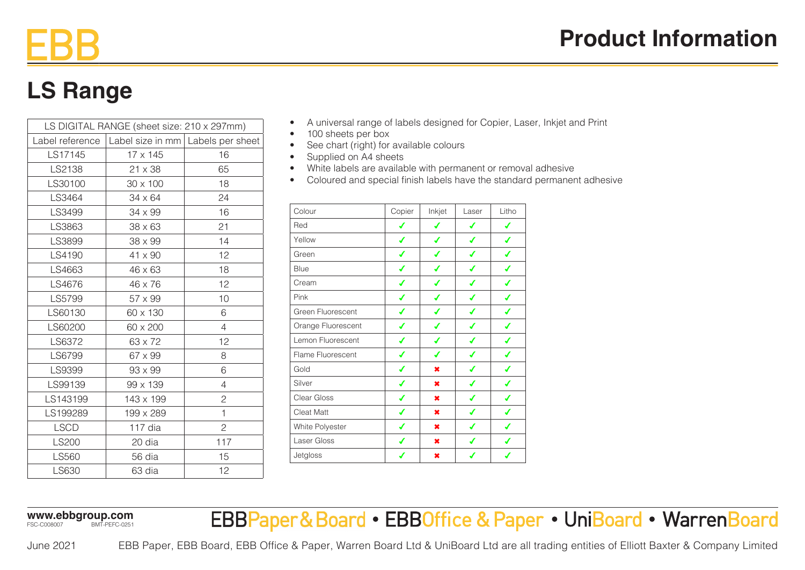# **LS Range**

| LS DIGITAL RANGE (sheet size: 210 x 297mm) |                                     |                |  |  |
|--------------------------------------------|-------------------------------------|----------------|--|--|
| Label reference                            | Label size in mm   Labels per sheet |                |  |  |
| LS17145                                    | 17 x 145                            | 16             |  |  |
| LS2138                                     | 21 x 38                             | 65             |  |  |
| LS30100                                    | 30 x 100                            | 18             |  |  |
| LS3464                                     | $34 \times 64$                      | 24             |  |  |
| LS3499                                     | 34 x 99                             | 16             |  |  |
| LS3863                                     | $38 \times 63$                      | 21             |  |  |
| LS3899                                     | 38 x 99                             | 14             |  |  |
| LS4190                                     | 41 x 90                             | 12             |  |  |
| LS4663                                     | 46 x 63                             | 18             |  |  |
| LS4676                                     | 46 x 76                             | 12             |  |  |
| LS5799                                     | 57 x 99                             | 10             |  |  |
| LS60130                                    | 60 x 130                            | 6              |  |  |
| LS60200                                    | 60 x 200                            | 4              |  |  |
| LS6372                                     | 63 x 72                             | 12             |  |  |
| LS6799                                     | 67 x 99                             | 8              |  |  |
| LS9399                                     | 93 x 99                             | 6              |  |  |
| LS99139                                    | 99 x 139                            | 4              |  |  |
| LS143199                                   | 143 x 199                           | $\overline{c}$ |  |  |
| LS199289                                   | 199 x 289                           | 1              |  |  |
| <b>LSCD</b>                                | 117 dia                             | $\overline{c}$ |  |  |
| <b>LS200</b>                               | 20 dia                              | 117            |  |  |
| LS560                                      | 56 dia                              | 15             |  |  |
| LS630                                      | 63 dia                              | 12             |  |  |

- A universal range of labels designed for Copier, Laser, Inkjet and Print
- 100 sheets per box
- See chart (right) for available colours
- Supplied on A4 sheets
- White labels are available with permanent or removal adhesive
- Coloured and special finish labels have the standard permanent adhesive

| Colour                   | Copier | Inkjet    | Laser | Litho |
|--------------------------|--------|-----------|-------|-------|
| Red                      | ✔      | ✔         | ✔     | ✔     |
| Yellow                   | ✔      | ✔         | ✔     | ✔     |
| Green                    | ✔      | J         | ✔     |       |
| Blue                     | ✔      | ✔         | ✔     |       |
| Cream                    | ✔      | ✔         | ✔     |       |
| Pink                     | ℐ      | ℐ         | ✔     |       |
| Green Fluorescent        | ✔      |           | ✔     |       |
| Orange Fluorescent       | ℐ      |           | ℐ     |       |
| Lemon Fluorescent        | ✔      |           |       |       |
| <b>Flame Fluorescent</b> | ✔      |           | J     |       |
| Gold                     | ℐ      | $\pmb{x}$ | J     |       |
| Silver                   | ✔      | $\pmb{x}$ | ✔     |       |
| Clear Gloss              | ✔      | ×         | ✔     |       |
| <b>Cleat Matt</b>        | ✔      | ×         | ✔     |       |
| White Polyester          | ✔      | ×         | ✔     | ✔     |
| Laser Gloss              | ✔      | ×         | ✔     |       |
| Jetgloss                 | ✔      | ×         | ✔     | ✔     |

**www.ebbgroup.com** FSC-C008007 BMT-PEFC-0251

EBBPaper&Board • EBBOffice & Paper • UniBoard • WarrenBoard